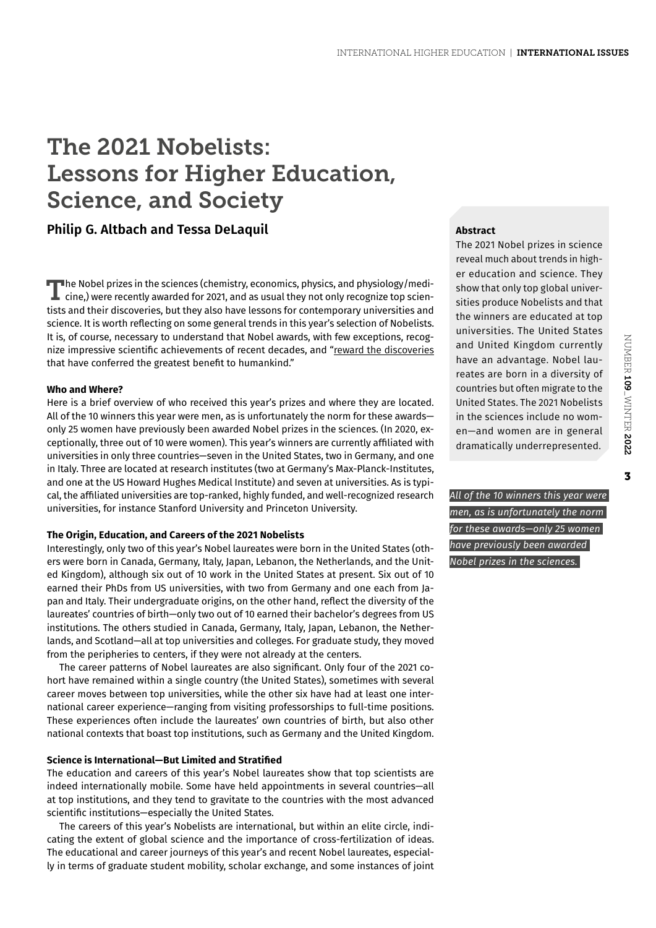# The 2021 Nobelists: Lessons for Higher Education, Science, and Society

# **Philip G. Altbach and Tessa DeLaquil**

The Nobel prizes in the sciences (chemistry, economics, physics, and physiology/medicine,) were recently awarded for 2021, and as usual they not only recognize top scientists and their discoveries, but they also have lessons for contemporary universities and science. It is worth reflecting on some general trends in this year's selection of Nobelists. It is, of course, necessary to understand that Nobel awards, with few exceptions, recognize impressive scientific achievements of recent decades, and "[reward the discoveries](https://www.nobelprize.org/about/#par4) that have conferred the greatest benefit to humankind."

#### **Who and Where?**

Here is a brief overview of who received this year's prizes and where they are located. All of the 10 winners this year were men, as is unfortunately the norm for these awards only 25 women have previously been awarded Nobel prizes in the sciences. (In 2020, exceptionally, three out of 10 were women). This year's winners are currently affiliated with universities in only three countries—seven in the United States, two in Germany, and one in Italy. Three are located at research institutes (two at Germany's Max-Planck-Institutes, and one at the US Howard Hughes Medical Institute) and seven at universities. As is typical, the affiliated universities are top-ranked, highly funded, and well-recognized research universities, for instance Stanford University and Princeton University.

## **The Origin, Education, and Careers of the 2021 Nobelists**

Interestingly, only two of this year's Nobel laureates were born in the United States (others were born in Canada, Germany, Italy, Japan, Lebanon, the Netherlands, and the United Kingdom), although six out of 10 work in the United States at present. Six out of 10 earned their PhDs from US universities, with two from Germany and one each from Japan and Italy. Their undergraduate origins, on the other hand, reflect the diversity of the laureates' countries of birth—only two out of 10 earned their bachelor's degrees from US institutions. The others studied in Canada, Germany, Italy, Japan, Lebanon, the Netherlands, and Scotland—all at top universities and colleges. For graduate study, they moved from the peripheries to centers, if they were not already at the centers.

The career patterns of Nobel laureates are also significant. Only four of the 2021 cohort have remained within a single country (the United States), sometimes with several career moves between top universities, while the other six have had at least one international career experience—ranging from visiting professorships to full-time positions. These experiences often include the laureates' own countries of birth, but also other national contexts that boast top institutions, such as Germany and the United Kingdom.

#### **Science is International—But Limited and Stratified**

The education and careers of this year's Nobel laureates show that top scientists are indeed internationally mobile. Some have held appointments in several countries—all at top institutions, and they tend to gravitate to the countries with the most advanced scientific institutions—especially the United States.

The careers of this year's Nobelists are international, but within an elite circle, indicating the extent of global science and the importance of cross-fertilization of ideas. The educational and career journeys of this year's and recent Nobel laureates, especially in terms of graduate student mobility, scholar exchange, and some instances of joint

## **Abstract**

The 2021 Nobel prizes in science reveal much about trends in higher education and science. They show that only top global universities produce Nobelists and that the winners are educated at top universities. The United States and United Kingdom currently have an advantage. Nobel laureates are born in a diversity of countries but often migrate to the United States. The 2021 Nobelists in the sciences include no women—and women are in general dramatically underrepresented.

 $\overline{\mathbf{3}}$ 

*All of the 10 winners this year were men, as is unfortunately the norm for these awards—only 25 women have previously been awarded Nobel prizes in the sciences.*